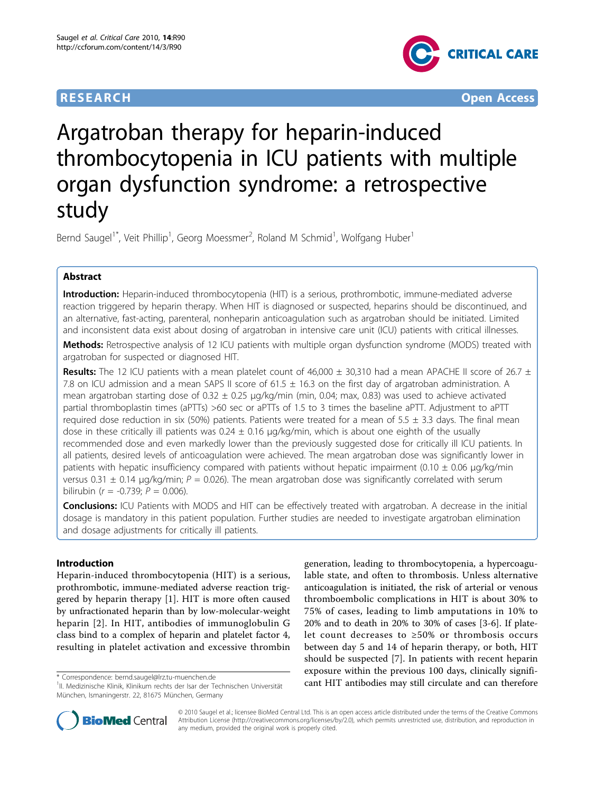

**RESEARCH CONTROL** CONTROL CONTROL CONTROL CONTROL CONTROL CONTROL CONTROL CONTROL CONTROL CONTROL CONTROL CONTROL CONTROL CONTROL CONTROL CONTROL CONTROL CONTROL CONTROL CONTROL CONTROL CONTROL CONTROL CONTROL CONTROL CON

# Argatroban therapy for heparin-induced thrombocytopenia in ICU patients with multiple organ dysfunction syndrome: a retrospective study

Bernd Saugel<sup>1\*</sup>, Veit Phillip<sup>1</sup>, Georg Moessmer<sup>2</sup>, Roland M Schmid<sup>1</sup>, Wolfgang Huber<sup>1</sup>

# Abstract

Introduction: Heparin-induced thrombocytopenia (HIT) is a serious, prothrombotic, immune-mediated adverse reaction triggered by heparin therapy. When HIT is diagnosed or suspected, heparins should be discontinued, and an alternative, fast-acting, parenteral, nonheparin anticoagulation such as argatroban should be initiated. Limited and inconsistent data exist about dosing of argatroban in intensive care unit (ICU) patients with critical illnesses.

Methods: Retrospective analysis of 12 ICU patients with multiple organ dysfunction syndrome (MODS) treated with argatroban for suspected or diagnosed HIT.

**Results:** The 12 ICU patients with a mean platelet count of 46,000  $\pm$  30,310 had a mean APACHE II score of 26.7  $\pm$ 7.8 on ICU admission and a mean SAPS II score of 61.5 ± 16.3 on the first day of argatroban administration. A mean argatroban starting dose of  $0.32 \pm 0.25$  µg/kg/min (min, 0.04; max, 0.83) was used to achieve activated partial thromboplastin times (aPTTs) >60 sec or aPTTs of 1.5 to 3 times the baseline aPTT. Adjustment to aPTT required dose reduction in six (50%) patients. Patients were treated for a mean of  $5.5 \pm 3.3$  days. The final mean dose in these critically ill patients was  $0.24 \pm 0.16$  µg/kg/min, which is about one eighth of the usually recommended dose and even markedly lower than the previously suggested dose for critically ill ICU patients. In all patients, desired levels of anticoagulation were achieved. The mean argatroban dose was significantly lower in patients with hepatic insufficiency compared with patients without hepatic impairment (0.10  $\pm$  0.06 µg/kg/min versus 0.31  $\pm$  0.14 μg/kg/min; P = 0.026). The mean argatroban dose was significantly correlated with serum bilirubin ( $r = -0.739$ ;  $P = 0.006$ ).

Conclusions: ICU Patients with MODS and HIT can be effectively treated with argatroban. A decrease in the initial dosage is mandatory in this patient population. Further studies are needed to investigate argatroban elimination and dosage adjustments for critically ill patients.

# Introduction

Heparin-induced thrombocytopenia (HIT) is a serious, prothrombotic, immune-mediated adverse reaction triggered by heparin therapy [\[1](#page-5-0)]. HIT is more often caused by unfractionated heparin than by low-molecular-weight heparin [\[2\]](#page-5-0). In HIT, antibodies of immunoglobulin G class bind to a complex of heparin and platelet factor 4, resulting in platelet activation and excessive thrombin

generation, leading to thrombocytopenia, a hypercoagulable state, and often to thrombosis. Unless alternative anticoagulation is initiated, the risk of arterial or venous thromboembolic complications in HIT is about 30% to 75% of cases, leading to limb amputations in 10% to 20% and to death in 20% to 30% of cases [\[3](#page-5-0)-[6\]](#page-5-0). If platelet count decreases to ≥50% or thrombosis occurs between day 5 and 14 of heparin therapy, or both, HIT should be suspected [\[7](#page-5-0)]. In patients with recent heparin exposure within the previous 100 days, clinically signifi\* Correspondence: [bernd.saugel@lrz.tu-muenchen.de](mailto:bernd.saugel@lrz.tu-muenchen.de)<br><sup>1</sup>II Medizinische Klinik Klinikum rechts der Isar der Technischen Universität **and KILL antibodies may still circulate and can therefore** 



© 2010 Saugel et al.; licensee BioMed Central Ltd. This is an open access article distributed under the terms of the Creative Commons Attribution License [\(http://creativecommons.org/licenses/by/2.0](http://creativecommons.org/licenses/by/2.0)), which permits unrestricted use, distribution, and reproduction in any medium, provided the original work is properly cited.

<sup>&</sup>lt;sup>1</sup>II. Medizinische Klinik, Klinikum rechts der Isar der Technischen Universität München, Ismaningerstr. 22, 81675 München, Germany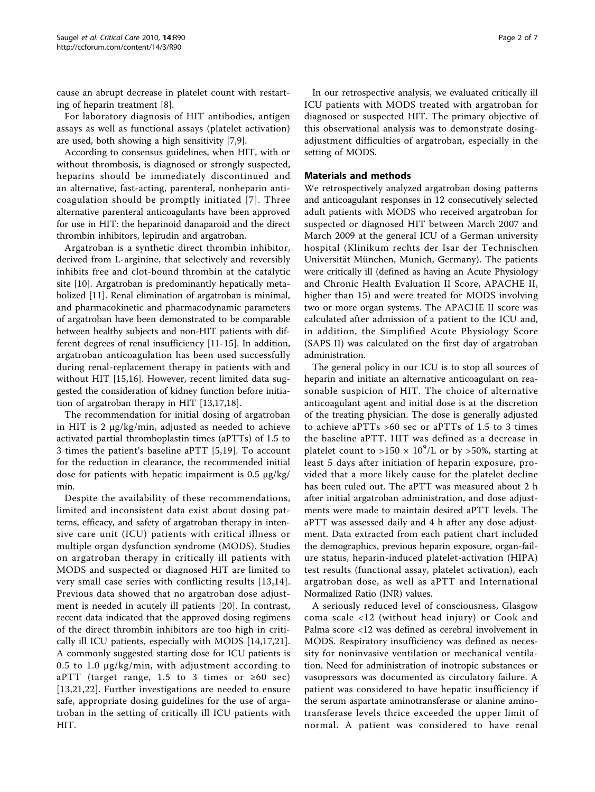cause an abrupt decrease in platelet count with restarting of heparin treatment [[8\]](#page-5-0).

For laboratory diagnosis of HIT antibodies, antigen assays as well as functional assays (platelet activation) are used, both showing a high sensitivity [\[7,9](#page-5-0)].

According to consensus guidelines, when HIT, with or without thrombosis, is diagnosed or strongly suspected, heparins should be immediately discontinued and an alternative, fast-acting, parenteral, nonheparin anticoagulation should be promptly initiated [[7\]](#page-5-0). Three alternative parenteral anticoagulants have been approved for use in HIT: the heparinoid danaparoid and the direct thrombin inhibitors, lepirudin and argatroban.

Argatroban is a synthetic direct thrombin inhibitor, derived from L-arginine, that selectively and reversibly inhibits free and clot-bound thrombin at the catalytic site [\[10](#page-5-0)]. Argatroban is predominantly hepatically metabolized [\[11](#page-5-0)]. Renal elimination of argatroban is minimal, and pharmacokinetic and pharmacodynamic parameters of argatroban have been demonstrated to be comparable between healthy subjects and non-HIT patients with different degrees of renal insufficiency [[11-](#page-5-0)[15\]](#page-6-0). In addition, argatroban anticoagulation has been used successfully during renal-replacement therapy in patients with and without HIT [\[15](#page-6-0),[16\]](#page-6-0). However, recent limited data suggested the consideration of kidney function before initiation of argatroban therapy in HIT [[13,](#page-5-0)[17,18](#page-6-0)].

The recommendation for initial dosing of argatroban in HIT is 2 μg/kg/min, adjusted as needed to achieve activated partial thromboplastin times (aPTTs) of 1.5 to 3 times the patient's baseline aPTT [\[5](#page-5-0),[19\]](#page-6-0). To account for the reduction in clearance, the recommended initial dose for patients with hepatic impairment is 0.5  $\mu$ g/kg/ min.

Despite the availability of these recommendations, limited and inconsistent data exist about dosing patterns, efficacy, and safety of argatroban therapy in intensive care unit (ICU) patients with critical illness or multiple organ dysfunction syndrome (MODS). Studies on argatroban therapy in critically ill patients with MODS and suspected or diagnosed HIT are limited to very small case series with conflicting results [[13](#page-5-0),[14](#page-5-0)]. Previous data showed that no argatroban dose adjustment is needed in acutely ill patients [\[20](#page-6-0)]. In contrast, recent data indicated that the approved dosing regimens of the direct thrombin inhibitors are too high in critically ill ICU patients, especially with MODS [[14,](#page-5-0)[17,21](#page-6-0)]. A commonly suggested starting dose for ICU patients is 0.5 to 1.0 μg/kg/min, with adjustment according to aPTT (target range, 1.5 to 3 times or  $\geq 60$  sec) [[13](#page-5-0),[21,22](#page-6-0)]. Further investigations are needed to ensure safe, appropriate dosing guidelines for the use of argatroban in the setting of critically ill ICU patients with HIT.

In our retrospective analysis, we evaluated critically ill ICU patients with MODS treated with argatroban for diagnosed or suspected HIT. The primary objective of this observational analysis was to demonstrate dosingadjustment difficulties of argatroban, especially in the setting of MODS.

# Materials and methods

We retrospectively analyzed argatroban dosing patterns and anticoagulant responses in 12 consecutively selected adult patients with MODS who received argatroban for suspected or diagnosed HIT between March 2007 and March 2009 at the general ICU of a German university hospital (Klinikum rechts der Isar der Technischen Universität München, Munich, Germany). The patients were critically ill (defined as having an Acute Physiology and Chronic Health Evaluation II Score, APACHE II, higher than 15) and were treated for MODS involving two or more organ systems. The APACHE II score was calculated after admission of a patient to the ICU and, in addition, the Simplified Acute Physiology Score (SAPS II) was calculated on the first day of argatroban administration.

The general policy in our ICU is to stop all sources of heparin and initiate an alternative anticoagulant on reasonable suspicion of HIT. The choice of alternative anticoagulant agent and initial dose is at the discretion of the treating physician. The dose is generally adjusted to achieve aPTTs >60 sec or aPTTs of 1.5 to 3 times the baseline aPTT. HIT was defined as a decrease in platelet count to >150  $\times$  10<sup>9</sup>/L or by >50%, starting at least 5 days after initiation of heparin exposure, provided that a more likely cause for the platelet decline has been ruled out. The aPTT was measured about 2 h after initial argatroban administration, and dose adjustments were made to maintain desired aPTT levels. The aPTT was assessed daily and 4 h after any dose adjustment. Data extracted from each patient chart included the demographics, previous heparin exposure, organ-failure status, heparin-induced platelet-activation (HIPA) test results (functional assay, platelet activation), each argatroban dose, as well as aPTT and International Normalized Ratio (INR) values.

A seriously reduced level of consciousness, Glasgow coma scale <12 (without head injury) or Cook and Palma score <12 was defined as cerebral involvement in MODS. Respiratory insufficiency was defined as necessity for noninvasive ventilation or mechanical ventilation. Need for administration of inotropic substances or vasopressors was documented as circulatory failure. A patient was considered to have hepatic insufficiency if the serum aspartate aminotransferase or alanine aminotransferase levels thrice exceeded the upper limit of normal. A patient was considered to have renal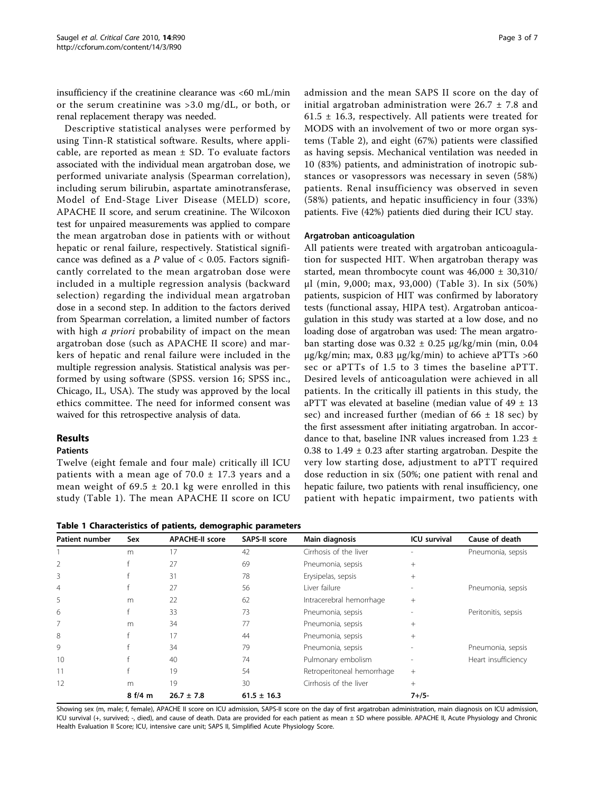insufficiency if the creatinine clearance was <60 mL/min or the serum creatinine was >3.0 mg/dL, or both, or renal replacement therapy was needed.

Descriptive statistical analyses were performed by using Tinn-R statistical software. Results, where applicable, are reported as mean  $\pm$  SD. To evaluate factors associated with the individual mean argatroban dose, we performed univariate analysis (Spearman correlation), including serum bilirubin, aspartate aminotransferase, Model of End-Stage Liver Disease (MELD) score, APACHE II score, and serum creatinine. The Wilcoxon test for unpaired measurements was applied to compare the mean argatroban dose in patients with or without hepatic or renal failure, respectively. Statistical significance was defined as a P value of  $< 0.05$ . Factors significantly correlated to the mean argatroban dose were included in a multiple regression analysis (backward selection) regarding the individual mean argatroban dose in a second step. In addition to the factors derived from Spearman correlation, a limited number of factors with high *a priori* probability of impact on the mean argatroban dose (such as APACHE II score) and markers of hepatic and renal failure were included in the multiple regression analysis. Statistical analysis was performed by using software (SPSS. version 16; SPSS inc., Chicago, IL, USA). The study was approved by the local ethics committee. The need for informed consent was waived for this retrospective analysis of data.

# Results

# Patients

Twelve (eight female and four male) critically ill ICU patients with a mean age of  $70.0 \pm 17.3$  years and a mean weight of  $69.5 \pm 20.1$  kg were enrolled in this study (Table 1). The mean APACHE II score on ICU admission and the mean SAPS II score on the day of initial argatroban administration were  $26.7 \pm 7.8$  and 61.5  $\pm$  16.3, respectively. All patients were treated for MODS with an involvement of two or more organ systems (Table [2](#page-3-0)), and eight (67%) patients were classified as having sepsis. Mechanical ventilation was needed in 10 (83%) patients, and administration of inotropic substances or vasopressors was necessary in seven (58%) patients. Renal insufficiency was observed in seven (58%) patients, and hepatic insufficiency in four (33%) patients. Five (42%) patients died during their ICU stay.

### Argatroban anticoagulation

All patients were treated with argatroban anticoagulation for suspected HIT. When argatroban therapy was started, mean thrombocyte count was  $46,000 \pm 30,310/$ μl (min, 9,000; max, 93,000) (Table [3](#page-3-0)). In six (50%) patients, suspicion of HIT was confirmed by laboratory tests (functional assay, HIPA test). Argatroban anticoagulation in this study was started at a low dose, and no loading dose of argatroban was used: The mean argatroban starting dose was  $0.32 \pm 0.25$   $\mu$ g/kg/min (min, 0.04 μg/kg/min; max, 0.83 μg/kg/min) to achieve aPTTs  $>60$ sec or aPTTs of 1.5 to 3 times the baseline aPTT. Desired levels of anticoagulation were achieved in all patients. In the critically ill patients in this study, the aPTT was elevated at baseline (median value of  $49 \pm 13$ sec) and increased further (median of  $66 \pm 18$  sec) by the first assessment after initiating argatroban. In accordance to that, baseline INR values increased from 1.23 ± 0.38 to  $1.49 \pm 0.23$  after starting argatroban. Despite the very low starting dose, adjustment to aPTT required dose reduction in six (50%; one patient with renal and hepatic failure, two patients with renal insufficiency, one patient with hepatic impairment, two patients with

Table 1 Characteristics of patients, demographic parameters

| <b>Patient number</b> | Sex   | <b>APACHE-II score</b> | SAPS-II score   | Main diagnosis             | <b>ICU</b> survival | Cause of death      |  |
|-----------------------|-------|------------------------|-----------------|----------------------------|---------------------|---------------------|--|
|                       | m     | 17                     | 42              | Cirrhosis of the liver     |                     | Pneumonia, sepsis   |  |
| $\overline{2}$        |       | 27                     | 69              | Pneumonia, sepsis          | $^{+}$              |                     |  |
| 3                     |       | 31                     | 78              | Erysipelas, sepsis         | $+$                 |                     |  |
| $\overline{4}$        |       | 27                     | 56              | I iver failure             |                     | Pneumonia, sepsis   |  |
| 5                     | m     | 22                     | 62              | Intracerebral hemorrhage   | $^{+}$              |                     |  |
| 6                     |       | 33                     | 73              | Pneumonia, sepsis          |                     | Peritonitis, sepsis |  |
| 7                     | m     | 34                     | 77              | Pneumonia, sepsis          | $^{+}$              |                     |  |
| 8                     |       | 17                     | 44              | Pneumonia, sepsis          | $+$                 |                     |  |
| 9                     |       | 34                     | 79              | Pneumonia, sepsis          |                     | Pneumonia, sepsis   |  |
| 10                    |       | 40                     | 74              | Pulmonary embolism         |                     | Heart insufficiency |  |
|                       |       | 19                     | 54              | Retroperitoneal hemorrhage | $+$                 |                     |  |
| 12                    | m     | 19                     | 30              | Cirrhosis of the liver     | $+$                 |                     |  |
|                       | 8f/4m | $26.7 \pm 7.8$         | $61.5 \pm 16.3$ |                            | $7 + 15 -$          |                     |  |

Showing sex (m, male; f, female), APACHE II score on ICU admission, SAPS-II score on the day of first argatroban administration, main diagnosis on ICU admission, ICU survival (+, survived; -, died), and cause of death. Data are provided for each patient as mean ± SD where possible. APACHE II, Acute Physiology and Chronic Health Evaluation II Score; ICU, intensive care unit; SAPS II, Simplified Acute Physiology Score.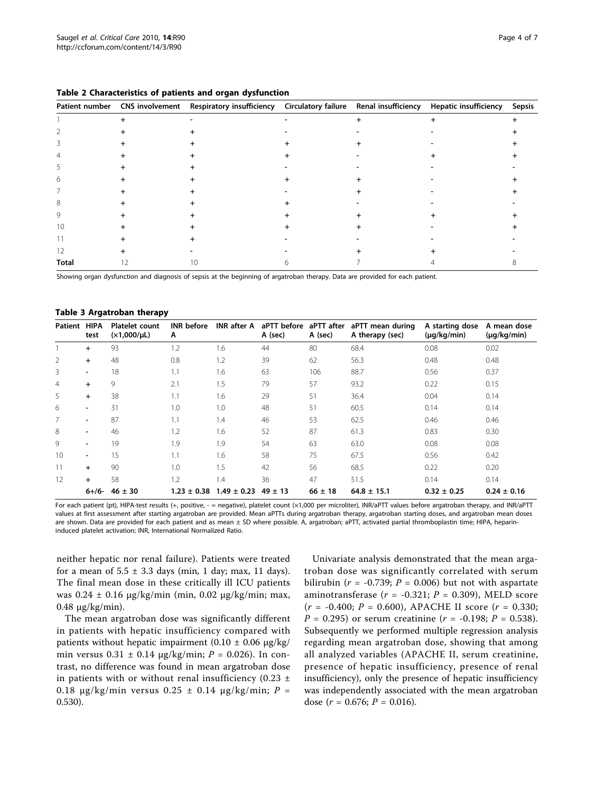| Patient number | CNS involvement Respiratory insufficiency | Circulatory failure Renal insufficiency | Hepatic insufficiency | Sepsis |
|----------------|-------------------------------------------|-----------------------------------------|-----------------------|--------|
|                |                                           |                                         |                       |        |
|                |                                           |                                         |                       |        |
|                |                                           |                                         |                       |        |
|                |                                           |                                         |                       |        |
|                |                                           |                                         |                       |        |
| 6              |                                           |                                         |                       |        |
|                |                                           |                                         |                       |        |
| 8              |                                           |                                         |                       |        |
| Q              |                                           |                                         |                       |        |
|                |                                           |                                         |                       |        |
|                |                                           |                                         |                       |        |
|                |                                           |                                         |                       |        |
| <b>Total</b>   |                                           |                                         |                       |        |

<span id="page-3-0"></span>

| Table 2 Characteristics of patients and organ dysfunction |  |  |  |  |  |  |
|-----------------------------------------------------------|--|--|--|--|--|--|
|-----------------------------------------------------------|--|--|--|--|--|--|

Showing organ dysfunction and diagnosis of sepsis at the beginning of argatroban therapy. Data are provided for each patient.

#### Table 3 Argatroban therapy

| Patient        | <b>HIPA</b><br>test | <b>Platelet count</b><br>$(x1,000/\mu L)$ | <b>INR</b> before<br>Α | <b>INR</b> after A | aPTT before<br>A (sec) | aPTT after<br>A (sec) | aPTT mean during<br>A therapy (sec) | A starting dose<br>$(\mu q/kg/min)$ | A mean dose<br>$(\mu g/kg/min)$ |
|----------------|---------------------|-------------------------------------------|------------------------|--------------------|------------------------|-----------------------|-------------------------------------|-------------------------------------|---------------------------------|
|                | $\ddot{}$           | 93                                        | 1.2                    | 1.6                | 44                     | 80                    | 68.4                                | 0.08                                | 0.02                            |
| 2              | $\ddot{}$           | 48                                        | 0.8                    | 1.2                | 39                     | 62                    | 56.3                                | 0.48                                | 0.48                            |
| 3              | -                   | 18                                        | 1.1                    | 1.6                | 63                     | 106                   | 88.7                                | 0.56                                | 0.37                            |
| $\overline{4}$ | $\ddot{}$           | 9                                         | 2.1                    | 1.5                | 79                     | 57                    | 93.2                                | 0.22                                | 0.15                            |
| 5              | $\ddot{}$           | 38                                        | 1.1                    | 1.6                | 29                     | 51                    | 36.4                                | 0.04                                | 0.14                            |
| 6              | -                   | 31                                        | 1.0                    | 1.0                | 48                     | 51                    | 60.5                                | 0.14                                | 0.14                            |
| 7              | -                   | 87                                        | 1.1                    | 1.4                | 46                     | 53                    | 62.5                                | 0.46                                | 0.46                            |
| 8              | -                   | 46                                        | 1.2                    | 1.6                | 52                     | 87                    | 61.3                                | 0.83                                | 0.30                            |
| 9              | -                   | 19                                        | 1.9                    | 1.9                | 54                     | 63                    | 63.0                                | 0.08                                | 0.08                            |
| 10             | -                   | 15                                        | 1.1                    | 1.6                | 58                     | 75                    | 67.5                                | 0.56                                | 0.42                            |
| 11             | $\ddot{}$           | 90                                        | 1.0                    | 1.5                | 42                     | 56                    | 68.5                                | 0.22                                | 0.20                            |
| 12             | $\ddot{}$           | 58                                        | 1.2                    | 1.4                | 36                     | 47                    | 51.5                                | 0.14                                | 0.14                            |
|                | $6+/-$              | $46 \pm 30$                               | $1.23 \pm 0.38$        | $1.49 \pm 0.23$    | $49 \pm 13$            | $66 \pm 18$           | $64.8 \pm 15.1$                     | $0.32 \pm 0.25$                     | $0.24 \pm 0.16$                 |

For each patient (pt), HIPA-test results (+, positive, - = negative), platelet count (×1,000 per microliter), INR/aPTT values before argatroban therapy, and INR/aPTT values at first assessment after starting argatroban are provided. Mean aPTTs during argatroban therapy, argatroban starting doses, and argatroban mean doses are shown. Data are provided for each patient and as mean ± SD where possible. A, argatroban; aPTT, activated partial thromboplastin time; HIPA, heparininduced platelet activation; INR, International Normalized Ratio.

neither hepatic nor renal failure). Patients were treated for a mean of  $5.5 \pm 3.3$  days (min, 1 day; max, 11 days). The final mean dose in these critically ill ICU patients was 0.24 ± 0.16 μg/kg/min (min, 0.02 μg/kg/min; max, 0.48 μg/kg/min).

The mean argatroban dose was significantly different in patients with hepatic insufficiency compared with patients without hepatic impairment (0.10  $\pm$  0.06 μg/kg/ min versus  $0.31 \pm 0.14 \mu g/kg/min$ ;  $P = 0.026$ ). In contrast, no difference was found in mean argatroban dose in patients with or without renal insufficiency (0.23  $\pm$ 0.18 μg/kg/min versus 0.25  $\pm$  0.14 μg/kg/min; P = 0.530).

Univariate analysis demonstrated that the mean argatroban dose was significantly correlated with serum bilirubin ( $r = -0.739$ ;  $P = 0.006$ ) but not with aspartate aminotransferase ( $r = -0.321$ ;  $P = 0.309$ ), MELD score  $(r = -0.400; P = 0.600)$ , APACHE II score  $(r = 0.330;$  $P = 0.295$  or serum creatinine ( $r = -0.198$ ;  $P = 0.538$ ). Subsequently we performed multiple regression analysis regarding mean argatroban dose, showing that among all analyzed variables (APACHE II, serum creatinine, presence of hepatic insufficiency, presence of renal insufficiency), only the presence of hepatic insufficiency was independently associated with the mean argatroban dose ( $r = 0.676$ ;  $P = 0.016$ ).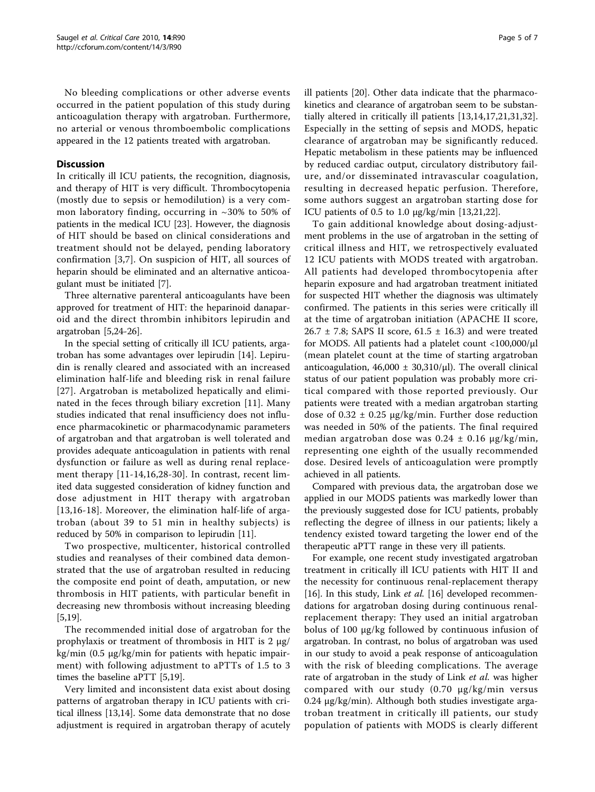No bleeding complications or other adverse events occurred in the patient population of this study during anticoagulation therapy with argatroban. Furthermore, no arterial or venous thromboembolic complications appeared in the 12 patients treated with argatroban.

# Discussion

In critically ill ICU patients, the recognition, diagnosis, and therapy of HIT is very difficult. Thrombocytopenia (mostly due to sepsis or hemodilution) is a very common laboratory finding, occurring in  $\sim$ 30% to 50% of patients in the medical ICU [\[23\]](#page-6-0). However, the diagnosis of HIT should be based on clinical considerations and treatment should not be delayed, pending laboratory confirmation [[3,7](#page-5-0)]. On suspicion of HIT, all sources of heparin should be eliminated and an alternative anticoagulant must be initiated [\[7](#page-5-0)].

Three alternative parenteral anticoagulants have been approved for treatment of HIT: the heparinoid danaparoid and the direct thrombin inhibitors lepirudin and argatroban [[5,](#page-5-0)[24-26](#page-6-0)].

In the special setting of critically ill ICU patients, argatroban has some advantages over lepirudin [[14](#page-5-0)]. Lepirudin is renally cleared and associated with an increased elimination half-life and bleeding risk in renal failure [[27](#page-6-0)]. Argatroban is metabolized hepatically and eliminated in the feces through biliary excretion [[11\]](#page-5-0). Many studies indicated that renal insufficiency does not influence pharmacokinetic or pharmacodynamic parameters of argatroban and that argatroban is well tolerated and provides adequate anticoagulation in patients with renal dysfunction or failure as well as during renal replacement therapy [[11](#page-5-0)-[14,](#page-5-0)[16](#page-6-0),[28-30](#page-6-0)]. In contrast, recent limited data suggested consideration of kidney function and dose adjustment in HIT therapy with argatroban [[13](#page-5-0),[16-18\]](#page-6-0). Moreover, the elimination half-life of argatroban (about 39 to 51 min in healthy subjects) is reduced by 50% in comparison to lepirudin [[11](#page-5-0)].

Two prospective, multicenter, historical controlled studies and reanalyses of their combined data demonstrated that the use of argatroban resulted in reducing the composite end point of death, amputation, or new thrombosis in HIT patients, with particular benefit in decreasing new thrombosis without increasing bleeding [[5,](#page-5-0)[19\]](#page-6-0).

The recommended initial dose of argatroban for the prophylaxis or treatment of thrombosis in HIT is 2 μg/ kg/min (0.5 μg/kg/min for patients with hepatic impairment) with following adjustment to aPTTs of 1.5 to 3 times the baseline aPTT [[5,](#page-5-0)[19\]](#page-6-0).

Very limited and inconsistent data exist about dosing patterns of argatroban therapy in ICU patients with critical illness [\[13,14](#page-5-0)]. Some data demonstrate that no dose adjustment is required in argatroban therapy of acutely ill patients [[20\]](#page-6-0). Other data indicate that the pharmacokinetics and clearance of argatroban seem to be substantially altered in critically ill patients [[13,14](#page-5-0)[,17](#page-6-0),[21,31,32](#page-6-0)]. Especially in the setting of sepsis and MODS, hepatic clearance of argatroban may be significantly reduced. Hepatic metabolism in these patients may be influenced by reduced cardiac output, circulatory distributory failure, and/or disseminated intravascular coagulation, resulting in decreased hepatic perfusion. Therefore, some authors suggest an argatroban starting dose for ICU patients of 0.5 to 1.0 μg/kg/min [\[13](#page-5-0)[,21,22\]](#page-6-0).

To gain additional knowledge about dosing-adjustment problems in the use of argatroban in the setting of critical illness and HIT, we retrospectively evaluated 12 ICU patients with MODS treated with argatroban. All patients had developed thrombocytopenia after heparin exposure and had argatroban treatment initiated for suspected HIT whether the diagnosis was ultimately confirmed. The patients in this series were critically ill at the time of argatroban initiation (APACHE II score, 26.7  $\pm$  7.8; SAPS II score, 61.5  $\pm$  16.3) and were treated for MODS. All patients had a platelet count <100,000/μl (mean platelet count at the time of starting argatroban anticoagulation,  $46,000 \pm 30,310/\mu l$ ). The overall clinical status of our patient population was probably more critical compared with those reported previously. Our patients were treated with a median argatroban starting dose of  $0.32 \pm 0.25$   $\mu$ g/kg/min. Further dose reduction was needed in 50% of the patients. The final required median argatroban dose was  $0.24 \pm 0.16$  µg/kg/min, representing one eighth of the usually recommended dose. Desired levels of anticoagulation were promptly achieved in all patients.

Compared with previous data, the argatroban dose we applied in our MODS patients was markedly lower than the previously suggested dose for ICU patients, probably reflecting the degree of illness in our patients; likely a tendency existed toward targeting the lower end of the therapeutic aPTT range in these very ill patients.

For example, one recent study investigated argatroban treatment in critically ill ICU patients with HIT II and the necessity for continuous renal-replacement therapy [[16\]](#page-6-0). In this study, Link et al. [\[16](#page-6-0)] developed recommendations for argatroban dosing during continuous renalreplacement therapy: They used an initial argatroban bolus of 100 μg/kg followed by continuous infusion of argatroban. In contrast, no bolus of argatroban was used in our study to avoid a peak response of anticoagulation with the risk of bleeding complications. The average rate of argatroban in the study of Link et al. was higher compared with our study (0.70 μg/kg/min versus 0.24 μg/kg/min). Although both studies investigate argatroban treatment in critically ill patients, our study population of patients with MODS is clearly different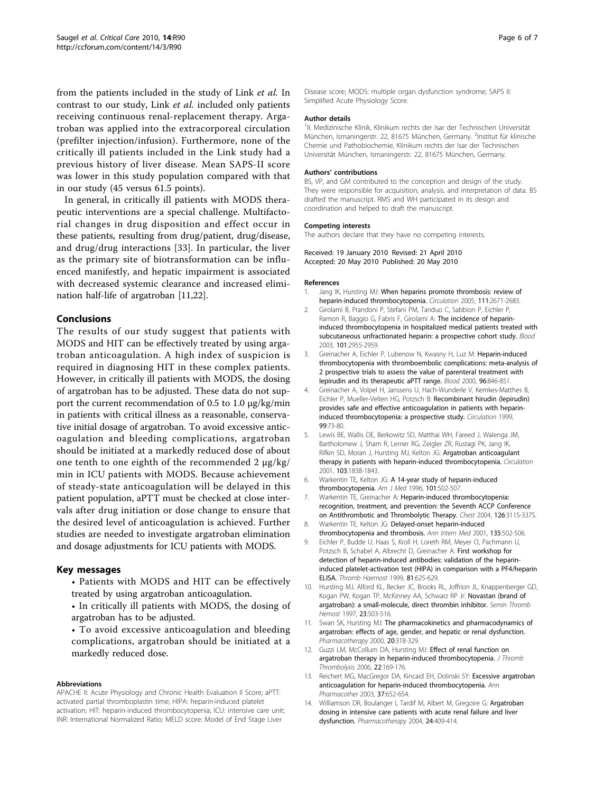<span id="page-5-0"></span>from the patients included in the study of Link et al. In contrast to our study, Link et al. included only patients receiving continuous renal-replacement therapy. Argatroban was applied into the extracorporeal circulation (prefilter injection/infusion). Furthermore, none of the critically ill patients included in the Link study had a previous history of liver disease. Mean SAPS-II score was lower in this study population compared with that in our study (45 versus 61.5 points).

In general, in critically ill patients with MODS therapeutic interventions are a special challenge. Multifactorial changes in drug disposition and effect occur in these patients, resulting from drug/patient, drug/disease, and drug/drug interactions [[33\]](#page-6-0). In particular, the liver as the primary site of biotransformation can be influenced manifestly, and hepatic impairment is associated with decreased systemic clearance and increased elimination half-life of argatroban [11[,22](#page-6-0)].

# Conclusions

The results of our study suggest that patients with MODS and HIT can be effectively treated by using argatroban anticoagulation. A high index of suspicion is required in diagnosing HIT in these complex patients. However, in critically ill patients with MODS, the dosing of argatroban has to be adjusted. These data do not support the current recommendation of 0.5 to 1.0 μg/kg/min in patients with critical illness as a reasonable, conservative initial dosage of argatroban. To avoid excessive anticoagulation and bleeding complications, argatroban should be initiated at a markedly reduced dose of about one tenth to one eighth of the recommended 2 μg/kg/ min in ICU patients with MODS. Because achievement of steady-state anticoagulation will be delayed in this patient population, aPTT must be checked at close intervals after drug initiation or dose change to ensure that the desired level of anticoagulation is achieved. Further studies are needed to investigate argatroban elimination and dosage adjustments for ICU patients with MODS.

### Key messages

- Patients with MODS and HIT can be effectively treated by using argatroban anticoagulation.
- In critically ill patients with MODS, the dosing of argatroban has to be adjusted.
- To avoid excessive anticoagulation and bleeding complications, argatroban should be initiated at a markedly reduced dose.

#### Abbreviations

APACHE II: Acute Physiology and Chronic Health Evaluation II Score; aPTT: activated partial thromboplastin time; HIPA: heparin-induced platelet activation; HIT: heparin-induced thrombocytopenia; ICU: intensive care unit; INR: International Normalized Ratio; MELD score: Model of End Stage Liver

Disease score; MODS: multiple organ dysfunction syndrome; SAPS II: Simplified Acute Physiology Score.

#### Author details

<sup>1</sup>II. Medizinische Klinik, Klinikum rechts der Isar der Technischen Universität München, Ismaningerstr. 22, 81675 München, Germany. <sup>2</sup>Institut für klinische Chemie und Pathobiochemie, Klinikum rechts der Isar der Technischen Universität München, Ismaningerstr. 22, 81675 München, Germany.

#### Authors' contributions

BS, VP, and GM contributed to the conception and design of the study. They were responsible for acquisition, analysis, and interpretation of data. BS drafted the manuscript. RMS and WH participated in its design and coordination and helped to draft the manuscript.

#### Competing interests

The authors declare that they have no competing interests.

Received: 19 January 2010 Revised: 21 April 2010 Accepted: 20 May 2010 Published: 20 May 2010

#### References

- 1. Jang IK, Hursting MJ: [When heparins promote thrombosis: review of](http://www.ncbi.nlm.nih.gov/pubmed/15911718?dopt=Abstract) [heparin-induced thrombocytopenia.](http://www.ncbi.nlm.nih.gov/pubmed/15911718?dopt=Abstract) Circulation 2005, 111:2671-2683.
- 2. Girolami B, Prandoni P, Stefani PM, Tanduo C, Sabbion P, Eichler P, Ramon R, Baggio G, Fabris F, Girolami A: [The incidence of heparin](http://www.ncbi.nlm.nih.gov/pubmed/12480713?dopt=Abstract)[induced thrombocytopenia in hospitalized medical patients treated with](http://www.ncbi.nlm.nih.gov/pubmed/12480713?dopt=Abstract) [subcutaneous unfractionated heparin: a prospective cohort study.](http://www.ncbi.nlm.nih.gov/pubmed/12480713?dopt=Abstract) Blood 2003, 101:2955-2959.
- 3. Greinacher A, Eichler P, Lubenow N, Kwasny H, Luz M: [Heparin-induced](http://www.ncbi.nlm.nih.gov/pubmed/10910895?dopt=Abstract) [thrombocytopenia with thromboembolic complications: meta-analysis of](http://www.ncbi.nlm.nih.gov/pubmed/10910895?dopt=Abstract) [2 prospective trials to assess the value of parenteral treatment with](http://www.ncbi.nlm.nih.gov/pubmed/10910895?dopt=Abstract) [lepirudin and its therapeutic aPTT range.](http://www.ncbi.nlm.nih.gov/pubmed/10910895?dopt=Abstract) Blood 2000, 96:846-851.
- 4. Greinacher A, Volpel H, Janssens U, Hach-Wunderle V, Kemkes-Matthes B, Eichler P, Mueller-Velten HG, Potzsch B: [Recombinant hirudin \(lepirudin\)](http://www.ncbi.nlm.nih.gov/pubmed/9884382?dopt=Abstract) [provides safe and effective anticoagulation in patients with heparin](http://www.ncbi.nlm.nih.gov/pubmed/9884382?dopt=Abstract)[induced thrombocytopenia: a prospective study.](http://www.ncbi.nlm.nih.gov/pubmed/9884382?dopt=Abstract) Circulation 1999, 99:73-80.
- 5. Lewis BE, Wallis DE, Berkowitz SD, Matthai WH, Fareed J, Walenga JM, Bartholomew J, Sham R, Lerner RG, Zeigler ZR, Rustagi PK, Jang IK, Rifkin SD, Moran J, Hursting MJ, Kelton JG: [Argatroban anticoagulant](http://www.ncbi.nlm.nih.gov/pubmed/11294800?dopt=Abstract) [therapy in patients with heparin-induced thrombocytopenia.](http://www.ncbi.nlm.nih.gov/pubmed/11294800?dopt=Abstract) Circulation 2001, 103:1838-1843.
- 6. Warkentin TE, Kelton JG: [A 14-year study of heparin-induced](http://www.ncbi.nlm.nih.gov/pubmed/8948273?dopt=Abstract) [thrombocytopenia.](http://www.ncbi.nlm.nih.gov/pubmed/8948273?dopt=Abstract) Am J Med 1996, 101:502-507.
- 7. Warkentin TE, Greinacher A: [Heparin-induced thrombocytopenia:](http://www.ncbi.nlm.nih.gov/pubmed/15383477?dopt=Abstract) [recognition, treatment, and prevention: the Seventh ACCP Conference](http://www.ncbi.nlm.nih.gov/pubmed/15383477?dopt=Abstract) [on Antithrombotic and Thrombolytic Therapy.](http://www.ncbi.nlm.nih.gov/pubmed/15383477?dopt=Abstract) Chest 2004, 126:311S-337S.
- 8. Warkentin TE, Kelton JG: [Delayed-onset heparin-induced](http://www.ncbi.nlm.nih.gov/pubmed/11578153?dopt=Abstract) [thrombocytopenia and thrombosis.](http://www.ncbi.nlm.nih.gov/pubmed/11578153?dopt=Abstract) Ann Intern Med 2001, 135:502-506.
- 9. Eichler P, Budde U, Haas S, Kroll H, Loreth RM, Meyer O, Pachmann U, Potzsch B, Schabel A, Albrecht D, Greinacher A: [First workshop for](http://www.ncbi.nlm.nih.gov/pubmed/10235451?dopt=Abstract) [detection of heparin-induced antibodies: validation of the heparin](http://www.ncbi.nlm.nih.gov/pubmed/10235451?dopt=Abstract)[induced platelet-activation test \(HIPA\) in comparison with a PF4/heparin](http://www.ncbi.nlm.nih.gov/pubmed/10235451?dopt=Abstract) [ELISA.](http://www.ncbi.nlm.nih.gov/pubmed/10235451?dopt=Abstract) Thromb Haemost 1999, 81:625-629.
- 10. Hursting MJ, Alford KL, Becker JC, Brooks RL, Joffrion JL, Knappenberger GD, Kogan PW, Kogan TP, McKinney AA, Schwarz RP Jr: [Novastan \(brand of](http://www.ncbi.nlm.nih.gov/pubmed/9469622?dopt=Abstract) [argatroban\): a small-molecule, direct thrombin inhibitor.](http://www.ncbi.nlm.nih.gov/pubmed/9469622?dopt=Abstract) Semin Thromb Hemost 1997, 23:503-516.
- 11. Swan SK, Hursting MJ: [The pharmacokinetics and pharmacodynamics of](http://www.ncbi.nlm.nih.gov/pubmed/10730687?dopt=Abstract) [argatroban: effects of age, gender, and hepatic or renal dysfunction.](http://www.ncbi.nlm.nih.gov/pubmed/10730687?dopt=Abstract) Pharmacotherapy 2000, 20:318-329.
- 12. Guzzi LM, McCollum DA, Hursting MJ: [Effect of renal function on](http://www.ncbi.nlm.nih.gov/pubmed/17103051?dopt=Abstract) [argatroban therapy in heparin-induced thrombocytopenia.](http://www.ncbi.nlm.nih.gov/pubmed/17103051?dopt=Abstract) J Thromb Thrombolysis 2006, 22:169-176.
- 13. Reichert MG, MacGregor DA, Kincaid EH, Dolinski SY: [Excessive argatroban](http://www.ncbi.nlm.nih.gov/pubmed/12708939?dopt=Abstract) [anticoagulation for heparin-induced thrombocytopenia.](http://www.ncbi.nlm.nih.gov/pubmed/12708939?dopt=Abstract) Ann Pharmacother 2003, 37:652-654.
- 14. Williamson DR, Boulanger I, Tardif M, Albert M, Gregoire G: [Argatroban](http://www.ncbi.nlm.nih.gov/pubmed/15040656?dopt=Abstract) [dosing in intensive care patients with acute renal failure and liver](http://www.ncbi.nlm.nih.gov/pubmed/15040656?dopt=Abstract) [dysfunction.](http://www.ncbi.nlm.nih.gov/pubmed/15040656?dopt=Abstract) Pharmacotherapy 2004, 24:409-414.